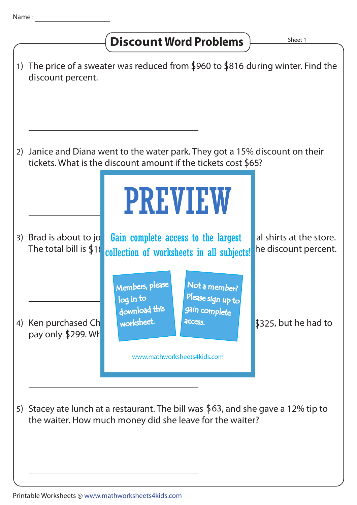